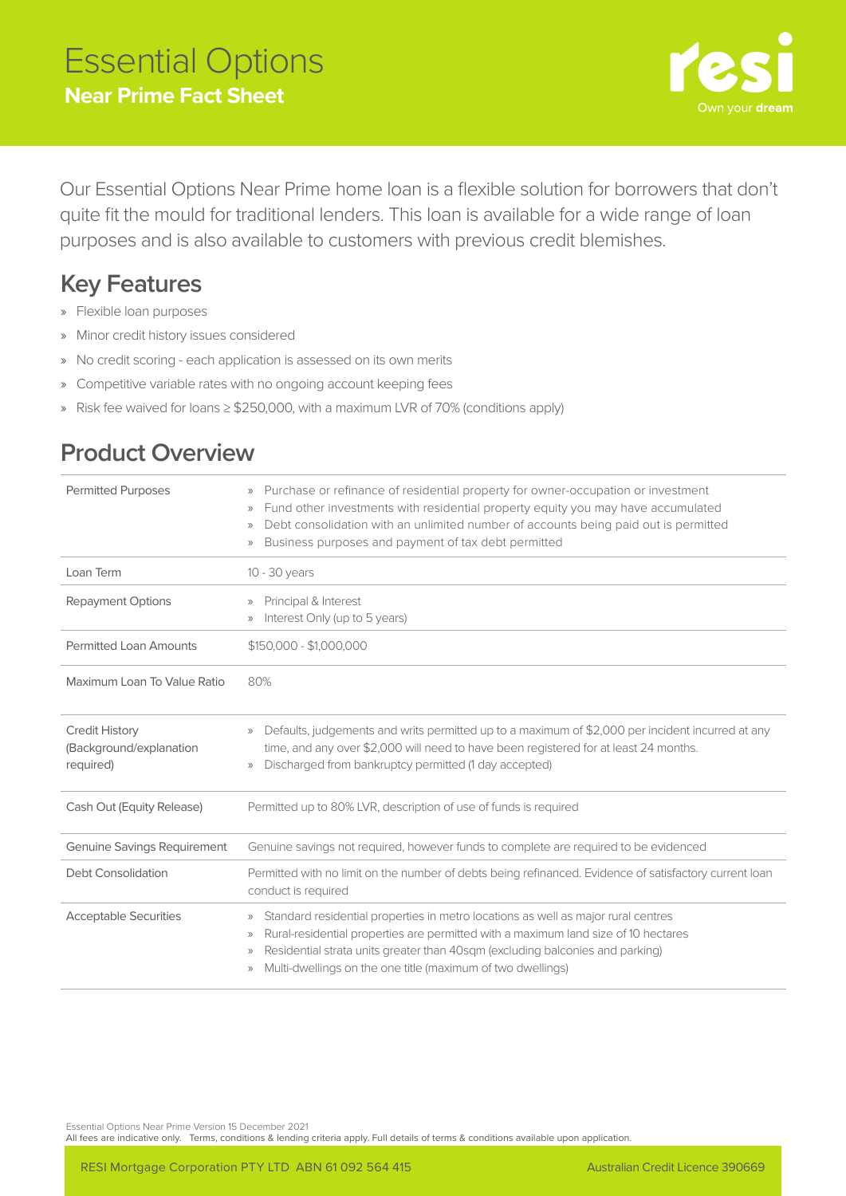

Our Essential Options Near Prime home loan is a flexible solution for borrowers that don't quite fit the mould for traditional lenders. This loan is available for a wide range of loan purposes and is also available to customers with previous credit blemishes.

## **Key Features**

- » Flexible loan purposes
- » Minor credit history issues considered
- » No credit scoring each application is assessed on its own merits
- » Competitive variable rates with no ongoing account keeping fees
- » Risk fee waived for loans ≥ \$250,000, with a maximum LVR of 70% (conditions apply)

## **Product Overview**

| <b>Permitted Purposes</b>                                     | Purchase or refinance of residential property for owner-occupation or investment<br>$\rangle$<br>Fund other investments with residential property equity you may have accumulated<br>$\rangle$<br>Debt consolidation with an unlimited number of accounts being paid out is permitted<br>$\rangle$<br>Business purposes and payment of tax debt permitted<br>$\rangle$      |  |
|---------------------------------------------------------------|-----------------------------------------------------------------------------------------------------------------------------------------------------------------------------------------------------------------------------------------------------------------------------------------------------------------------------------------------------------------------------|--|
| Loan Term                                                     | 10 - 30 years                                                                                                                                                                                                                                                                                                                                                               |  |
| <b>Repayment Options</b>                                      | Principal & Interest<br>$\rangle$<br>Interest Only (up to 5 years)<br>$\rangle$                                                                                                                                                                                                                                                                                             |  |
| <b>Permitted Loan Amounts</b>                                 | $$150,000 - $1,000,000$                                                                                                                                                                                                                                                                                                                                                     |  |
| Maximum Loan To Value Ratio                                   | 80%                                                                                                                                                                                                                                                                                                                                                                         |  |
| <b>Credit History</b><br>(Background/explanation<br>required) | Defaults, judgements and writs permitted up to a maximum of \$2,000 per incident incurred at any<br>$\rangle\rangle$<br>time, and any over \$2,000 will need to have been registered for at least 24 months.<br>Discharged from bankruptcy permitted (1 day accepted)<br>$\rangle$                                                                                          |  |
| Cash Out (Equity Release)                                     | Permitted up to 80% LVR, description of use of funds is required                                                                                                                                                                                                                                                                                                            |  |
| <b>Genuine Savings Requirement</b>                            | Genuine savings not required, however funds to complete are required to be evidenced                                                                                                                                                                                                                                                                                        |  |
| Debt Consolidation                                            | Permitted with no limit on the number of debts being refinanced. Evidence of satisfactory current loan<br>conduct is required                                                                                                                                                                                                                                               |  |
| <b>Acceptable Securities</b>                                  | Standard residential properties in metro locations as well as major rural centres<br>$\rangle$<br>Rural-residential properties are permitted with a maximum land size of 10 hectares<br>$\rangle$<br>Residential strata units greater than 40sqm (excluding balconies and parking)<br>$\rangle$<br>Multi-dwellings on the one title (maximum of two dwellings)<br>$\rangle$ |  |

Essential Options Near Prime Version 15 December 2021

All fees are indicative only. Terms, conditions & lending criteria apply. Full details of terms & conditions available upon application.